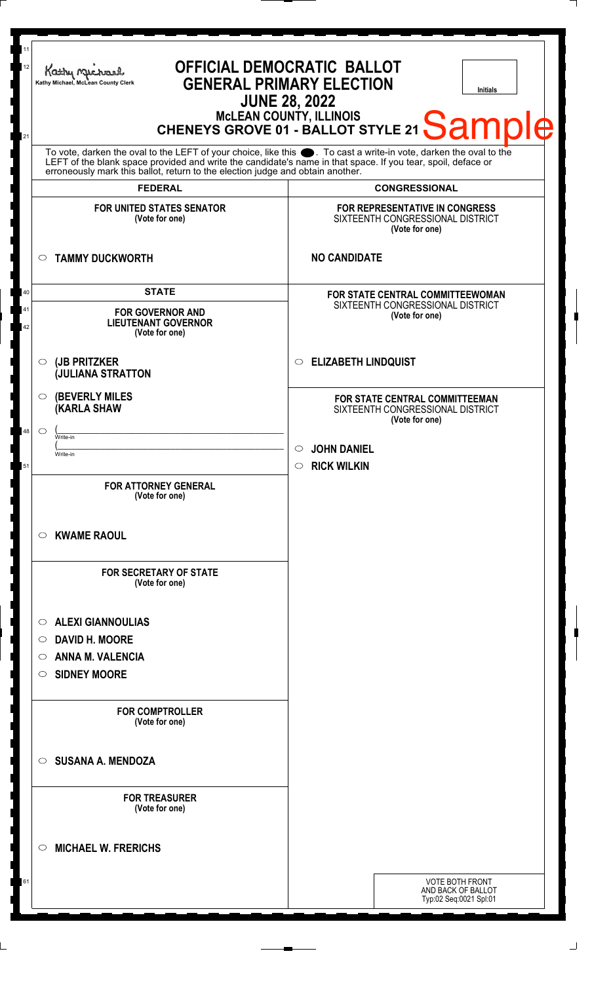| 11<br><b>OFFICIAL DEMOCRATIC BALLOT</b><br>12<br>Kathy My<br><b>GENERAL PRIMARY ELECTION</b><br>Kathy Michael, McLean County Clerk<br><b>Initials</b><br><b>JUNE 28, 2022</b><br>MCLEAN COUNTY, ILLINOIS<br>CHENEYS GROVE 01 - BALLOT STYLE 21 Sample<br>21 |                                                                                                                                                                                                                                                       |  |
|-------------------------------------------------------------------------------------------------------------------------------------------------------------------------------------------------------------------------------------------------------------|-------------------------------------------------------------------------------------------------------------------------------------------------------------------------------------------------------------------------------------------------------|--|
| <b>FEDERAL</b>                                                                                                                                                                                                                                              | To vote, darken the oval to the LEFT of your choice, like this . To cast a write-in vote, darken the oval to the LEFT of the blank space provided and write the candidate's name in that space. If you tear, spoil, deface or<br><b>CONGRESSIONAL</b> |  |
| <b>FOR UNITED STATES SENATOR</b><br>(Vote for one)                                                                                                                                                                                                          | FOR REPRESENTATIVE IN CONGRESS<br>SIXTEENTH CONGRESSIONAL DISTRICT<br>(Vote for one)                                                                                                                                                                  |  |
| <b>TAMMY DUCKWORTH</b><br>$\circ$                                                                                                                                                                                                                           | <b>NO CANDIDATE</b>                                                                                                                                                                                                                                   |  |
| <b>STATE</b><br><b>FOR GOVERNOR AND</b><br><b>LIEUTENANT GOVERNOR</b><br>(Vote for one)                                                                                                                                                                     | <b>FOR STATE CENTRAL COMMITTEEWOMAN</b><br>SIXTEENTH CONGRESSIONAL DISTRICT<br>(Vote for one)                                                                                                                                                         |  |
| (JB PRITZKER<br>$\circ$<br><b>JULIANA STRATTON</b>                                                                                                                                                                                                          | C ELIZABETH LINDQUIST                                                                                                                                                                                                                                 |  |
| <b>(BEVERLY MILES)</b><br>$\circ$<br><b>KARLA SHAW</b><br>48<br>$\circ$<br>Write-in<br>Write-in                                                                                                                                                             | FOR STATE CENTRAL COMMITTEEMAN<br>SIXTEENTH CONGRESSIONAL DISTRICT<br>(Vote for one)<br><b>JOHN DANIEL</b><br>$\circ$                                                                                                                                 |  |
| <b>FOR ATTORNEY GENERAL</b><br>(Vote for one)                                                                                                                                                                                                               | <b>RICK WILKIN</b><br>$\circ$                                                                                                                                                                                                                         |  |
| <b>KWAME RAOUL</b><br>O<br><b>FOR SECRETARY OF STATE</b><br>(Vote for one)                                                                                                                                                                                  |                                                                                                                                                                                                                                                       |  |
| <b>ALEXI GIANNOULIAS</b><br>$\circ$<br><b>DAVID H. MOORE</b><br>$\circlearrowright$<br><b>ANNA M. VALENCIA</b><br>$\circ$<br><b>SIDNEY MOORE</b><br>$\circ$                                                                                                 |                                                                                                                                                                                                                                                       |  |
| <b>FOR COMPTROLLER</b><br>(Vote for one)                                                                                                                                                                                                                    |                                                                                                                                                                                                                                                       |  |
| <b>SUSANA A. MENDOZA</b><br>$\circ$                                                                                                                                                                                                                         |                                                                                                                                                                                                                                                       |  |
| <b>FOR TREASURER</b><br>(Vote for one)                                                                                                                                                                                                                      |                                                                                                                                                                                                                                                       |  |
| <b>MICHAEL W. FRERICHS</b><br>$\circlearrowright$                                                                                                                                                                                                           |                                                                                                                                                                                                                                                       |  |
|                                                                                                                                                                                                                                                             | <b>VOTE BOTH FRONT</b><br>AND BACK OF BALLOT<br>Typ:02 Seq:0021 Spl:01                                                                                                                                                                                |  |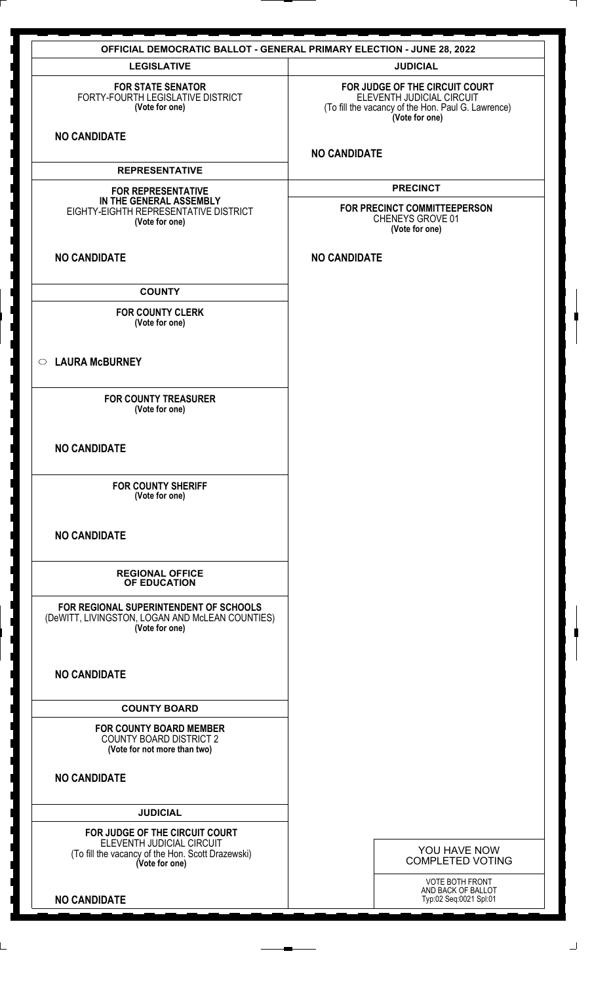| <b>OFFICIAL DEMOCRATIC BALLOT - GENERAL PRIMARY ELECTION - JUNE 28, 2022</b>                                |                                                                                                                                     |  |  |
|-------------------------------------------------------------------------------------------------------------|-------------------------------------------------------------------------------------------------------------------------------------|--|--|
| <b>LEGISLATIVE</b>                                                                                          | <b>JUDICIAL</b>                                                                                                                     |  |  |
| <b>FOR STATE SENATOR</b><br>FORTY-FOURTH LEGISLATIVE DISTRICT<br>(Vote for one)                             | FOR JUDGE OF THE CIRCUIT COURT<br>ELEVENTH JUDICIAL CIRCUIT<br>(To fill the vacancy of the Hon. Paul G. Lawrence)<br>(Vote for one) |  |  |
| <b>NO CANDIDATE</b>                                                                                         | <b>NO CANDIDATE</b>                                                                                                                 |  |  |
| <b>REPRESENTATIVE</b>                                                                                       |                                                                                                                                     |  |  |
| <b>FOR REPRESENTATIVE</b>                                                                                   | <b>PRECINCT</b>                                                                                                                     |  |  |
| IN THE GENERAL ASSEMBLY<br>EIGHTY-EIGHTH REPRESENTATIVE DISTRICT<br>(Vote for one)                          | FOR PRECINCT COMMITTEEPERSON<br>CHENEYS GROVE 01<br>(Vote for one)                                                                  |  |  |
| <b>NO CANDIDATE</b>                                                                                         | <b>NO CANDIDATE</b>                                                                                                                 |  |  |
| <b>COUNTY</b>                                                                                               |                                                                                                                                     |  |  |
| <b>FOR COUNTY CLERK</b><br>(Vote for one)                                                                   |                                                                                                                                     |  |  |
| <b>LAURA McBURNEY</b><br>$\circ$                                                                            |                                                                                                                                     |  |  |
| <b>FOR COUNTY TREASURER</b><br>(Vote for one)                                                               |                                                                                                                                     |  |  |
| <b>NO CANDIDATE</b>                                                                                         |                                                                                                                                     |  |  |
| <b>FOR COUNTY SHERIFF</b><br>(Vote for one)                                                                 |                                                                                                                                     |  |  |
| <b>NO CANDIDATE</b>                                                                                         |                                                                                                                                     |  |  |
| <b>REGIONAL OFFICE</b><br><b>OF EDUCATION</b>                                                               |                                                                                                                                     |  |  |
| FOR REGIONAL SUPERINTENDENT OF SCHOOLS<br>(DeWITT, LIVINGSTON, LOGAN AND McLEAN COUNTIES)<br>(Vote for one) |                                                                                                                                     |  |  |
| <b>NO CANDIDATE</b>                                                                                         |                                                                                                                                     |  |  |
| <b>COUNTY BOARD</b>                                                                                         |                                                                                                                                     |  |  |
| <b>FOR COUNTY BOARD MEMBER</b><br><b>COUNTY BOARD DISTRICT 2</b><br>(Vote for not more than two)            |                                                                                                                                     |  |  |
| <b>NO CANDIDATE</b>                                                                                         |                                                                                                                                     |  |  |
| <b>JUDICIAL</b>                                                                                             |                                                                                                                                     |  |  |
| FOR JUDGE OF THE CIRCUIT COURT                                                                              |                                                                                                                                     |  |  |
| ELEVENTH JUDICIAL CIRCUIT<br>(To fill the vacancy of the Hon. Scott Drazewski)<br>(Vote for one)            | YOU HAVE NOW<br><b>COMPLETED VOTING</b>                                                                                             |  |  |
| <b>NO CANDIDATE</b>                                                                                         | VOTE BOTH FRONT<br>AND BACK OF BALLOT<br>Typ:02 Seq:0021 Spl:01                                                                     |  |  |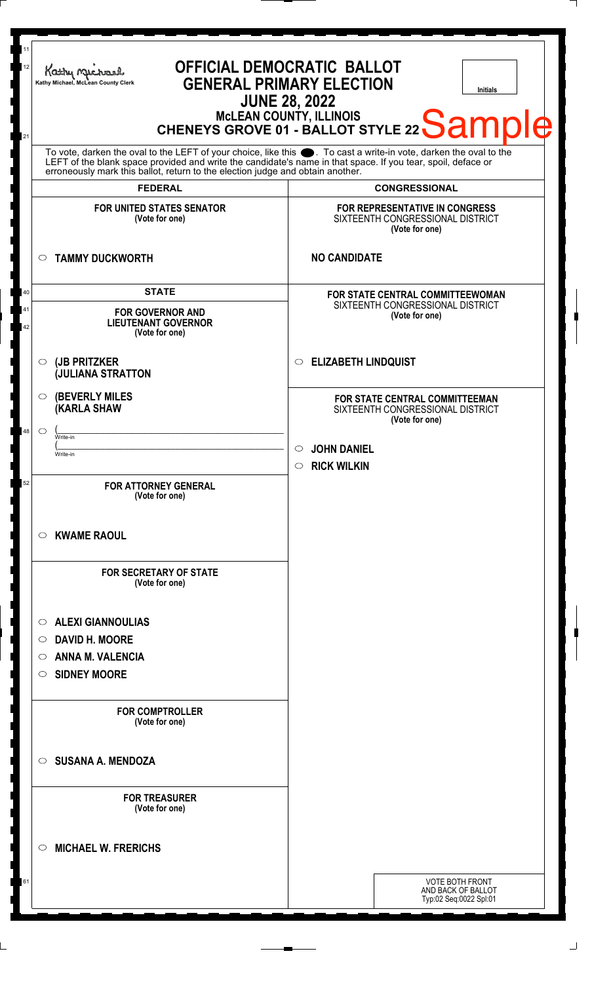| 11<br>12<br>21                                                                                                                                                                                                                                                                                                      | OFFICIAL DEMOCRATIC BALLOT<br>Kathy Michael<br><b>GENERAL PRIMARY ELECTION</b><br>Kathy Michael, McLean County Clerk<br><b>Initials</b><br><b>JUNE 28, 2022</b><br>MCLEAN COUNTY, ILLINOIS<br>CHENEYS GROVE 01 - BALLOT STYLE 22 Sample |                                                                                                                     |  |
|---------------------------------------------------------------------------------------------------------------------------------------------------------------------------------------------------------------------------------------------------------------------------------------------------------------------|-----------------------------------------------------------------------------------------------------------------------------------------------------------------------------------------------------------------------------------------|---------------------------------------------------------------------------------------------------------------------|--|
| To vote, darken the oval to the LEFT of your choice, like this ●. To cast a write-in vote, darken the oval to the<br>LEFT of the blank space provided and write the candidate's name in that space. If you tear, spoil, deface or<br>erroneously mark this ballot, return to the election judge and obtain another. |                                                                                                                                                                                                                                         |                                                                                                                     |  |
|                                                                                                                                                                                                                                                                                                                     | <b>FEDERAL</b><br><b>FOR UNITED STATES SENATOR</b><br>(Vote for one)                                                                                                                                                                    | <b>CONGRESSIONAL</b><br><b>FOR REPRESENTATIVE IN CONGRESS</b><br>SIXTEENTH CONGRESSIONAL DISTRICT<br>(Vote for one) |  |
| $\circ$                                                                                                                                                                                                                                                                                                             | <b>TAMMY DUCKWORTH</b>                                                                                                                                                                                                                  | <b>NO CANDIDATE</b>                                                                                                 |  |
| 40<br>41<br>42                                                                                                                                                                                                                                                                                                      | <b>STATE</b><br><b>FOR GOVERNOR AND</b><br><b>LIEUTENANT GOVERNOR</b><br>(Vote for one)                                                                                                                                                 | FOR STATE CENTRAL COMMITTEEWOMAN<br>SIXTEENTH CONGRESSIONAL DISTRICT<br>(Vote for one)                              |  |
| $\circ$                                                                                                                                                                                                                                                                                                             | (JB PRITZKER<br><b>JULIANA STRATTON</b>                                                                                                                                                                                                 | <b>ELIZABETH LINDQUIST</b><br>$\circ$                                                                               |  |
| O                                                                                                                                                                                                                                                                                                                   | <b>(BEVERLY MILES)</b><br><b>KARLA SHAW</b>                                                                                                                                                                                             | FOR STATE CENTRAL COMMITTEEMAN<br>SIXTEENTH CONGRESSIONAL DISTRICT<br>(Vote for one)                                |  |
| 48<br>◯                                                                                                                                                                                                                                                                                                             | Write-in<br>Write-in                                                                                                                                                                                                                    | <b>JOHN DANIEL</b><br>$\circlearrowright$<br><b>RICK WILKIN</b><br>$\circ$                                          |  |
| 52                                                                                                                                                                                                                                                                                                                  | <b>FOR ATTORNEY GENERAL</b><br>(Vote for one)                                                                                                                                                                                           |                                                                                                                     |  |
| O                                                                                                                                                                                                                                                                                                                   | <b>KWAME RAOUL</b>                                                                                                                                                                                                                      |                                                                                                                     |  |
|                                                                                                                                                                                                                                                                                                                     | <b>FOR SECRETARY OF STATE</b><br>(Vote for one)                                                                                                                                                                                         |                                                                                                                     |  |
| $\circ$<br>$\circ$<br>O<br>O                                                                                                                                                                                                                                                                                        | <b>ALEXI GIANNOULIAS</b><br><b>DAVID H. MOORE</b><br><b>ANNA M. VALENCIA</b><br><b>SIDNEY MOORE</b>                                                                                                                                     |                                                                                                                     |  |
|                                                                                                                                                                                                                                                                                                                     | <b>FOR COMPTROLLER</b><br>(Vote for one)                                                                                                                                                                                                |                                                                                                                     |  |
| ◯                                                                                                                                                                                                                                                                                                                   | <b>SUSANA A. MENDOZA</b>                                                                                                                                                                                                                |                                                                                                                     |  |
|                                                                                                                                                                                                                                                                                                                     | <b>FOR TREASURER</b><br>(Vote for one)                                                                                                                                                                                                  |                                                                                                                     |  |
| ◯                                                                                                                                                                                                                                                                                                                   | <b>MICHAEL W. FRERICHS</b>                                                                                                                                                                                                              |                                                                                                                     |  |
| 61                                                                                                                                                                                                                                                                                                                  |                                                                                                                                                                                                                                         | VOTE BOTH FRONT<br>AND BACK OF BALLOT<br>Typ:02 Seq:0022 Spl:01                                                     |  |